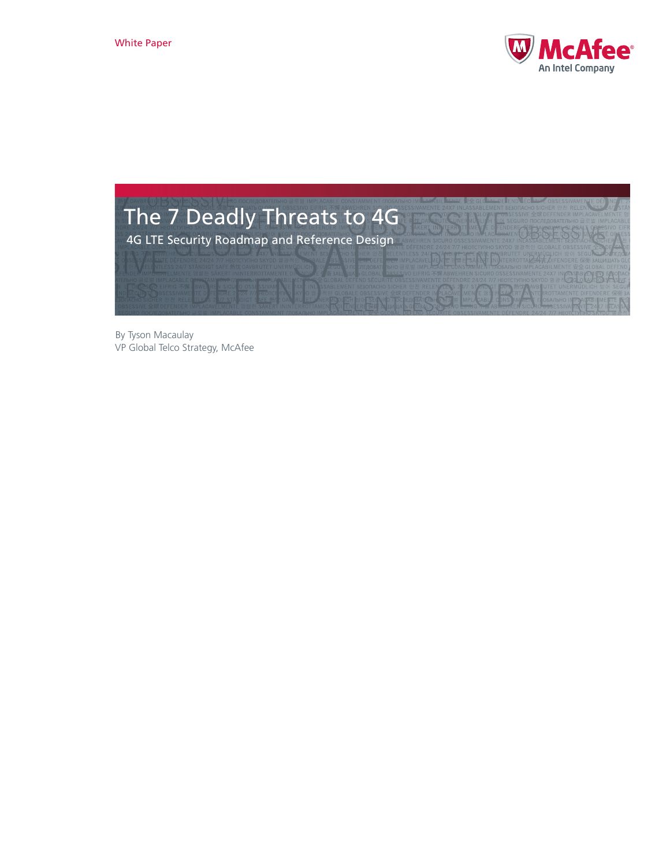



By Tyson Macaulay VP Global Telco Strategy, McAfee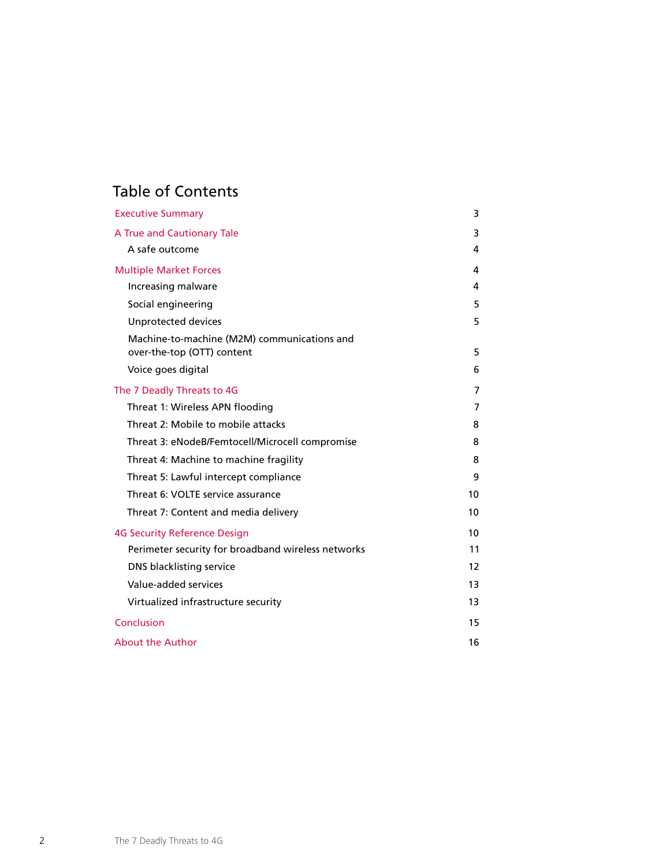# Table of Contents

| <b>Executive Summary</b>                                                  | 3  |
|---------------------------------------------------------------------------|----|
| A True and Cautionary Tale                                                | 3  |
| A safe outcome                                                            | 4  |
| <b>Multiple Market Forces</b>                                             | 4  |
| Increasing malware                                                        | 4  |
| Social engineering                                                        | 5  |
| Unprotected devices                                                       | 5. |
| Machine-to-machine (M2M) communications and<br>over-the-top (OTT) content | 5  |
| Voice goes digital                                                        | 6  |
| The 7 Deadly Threats to 4G                                                | 7  |
| Threat 1: Wireless APN flooding                                           | 7  |
| Threat 2: Mobile to mobile attacks                                        | 8  |
| Threat 3: eNodeB/Femtocell/Microcell compromise                           | 8  |
| Threat 4: Machine to machine fragility                                    | 8  |
| Threat 5: Lawful intercept compliance                                     | 9  |
| Threat 6: VOLTE service assurance                                         | 10 |
| Threat 7: Content and media delivery                                      | 10 |
| <b>4G Security Reference Design</b>                                       | 10 |
| Perimeter security for broadband wireless networks                        | 11 |
| DNS blacklisting service                                                  | 12 |
| Value-added services                                                      | 13 |
| Virtualized infrastructure security                                       | 13 |
| Conclusion                                                                | 15 |
| <b>About the Author</b>                                                   | 16 |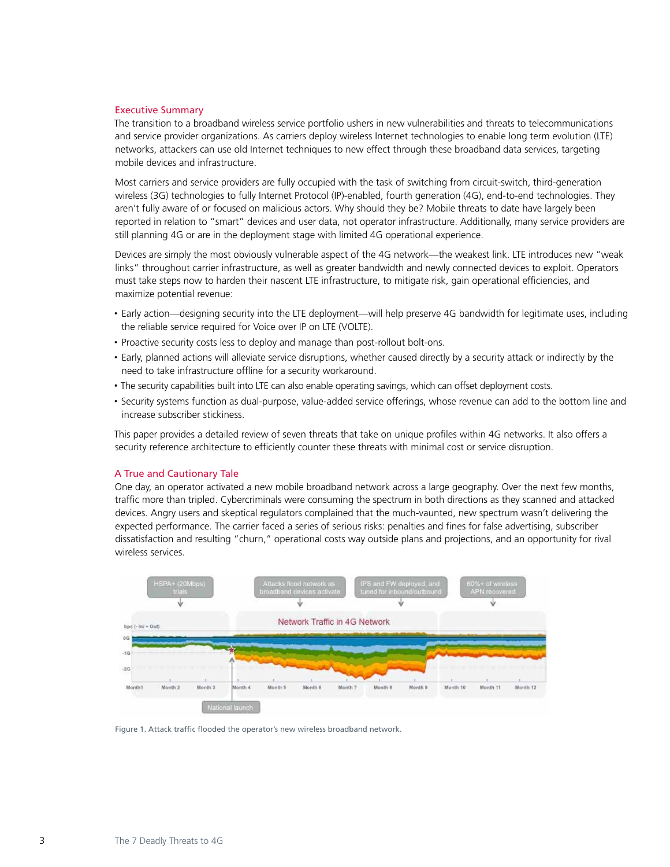## <span id="page-2-0"></span>Executive Summary

The transition to a broadband wireless service portfolio ushers in new vulnerabilities and threats to telecommunications and service provider organizations. As carriers deploy wireless Internet technologies to enable long term evolution (LTE) networks, attackers can use old Internet techniques to new effect through these broadband data services, targeting mobile devices and infrastructure.

Most carriers and service providers are fully occupied with the task of switching from circuit-switch, third-generation wireless (3G) technologies to fully Internet Protocol (IP)-enabled, fourth generation (4G), end-to-end technologies. They aren't fully aware of or focused on malicious actors. Why should they be? Mobile threats to date have largely been reported in relation to "smart" devices and user data, not operator infrastructure. Additionally, many service providers are still planning 4G or are in the deployment stage with limited 4G operational experience.

Devices are simply the most obviously vulnerable aspect of the 4G network—the weakest link. LTE introduces new "weak links" throughout carrier infrastructure, as well as greater bandwidth and newly connected devices to exploit. Operators must take steps now to harden their nascent LTE infrastructure, to mitigate risk, gain operational efficiencies, and maximize potential revenue:

- • Early action—designing security into the LTE deployment—will help preserve 4G bandwidth for legitimate uses, including the reliable service required for Voice over IP on LTE (VOLTE).
- Proactive security costs less to deploy and manage than post-rollout bolt-ons.
- • Early, planned actions will alleviate service disruptions, whether caused directly by a security attack or indirectly by the need to take infrastructure offline for a security workaround.
- The security capabilities built into LTE can also enable operating savings, which can offset deployment costs.
- • Security systems function as dual-purpose, value-added service offerings, whose revenue can add to the bottom line and increase subscriber stickiness.

This paper provides a detailed review of seven threats that take on unique profiles within 4G networks. It also offers a security reference architecture to efficiently counter these threats with minimal cost or service disruption.

#### A True and Cautionary Tale

One day, an operator activated a new mobile broadband network across a large geography. Over the next few months, traffic more than tripled. Cybercriminals were consuming the spectrum in both directions as they scanned and attacked devices. Angry users and skeptical regulators complained that the much-vaunted, new spectrum wasn't delivering the expected performance. The carrier faced a series of serious risks: penalties and fines for false advertising, subscriber dissatisfaction and resulting "churn," operational costs way outside plans and projections, and an opportunity for rival wireless services.



Figure 1. Attack traffic flooded the operator's new wireless broadband network.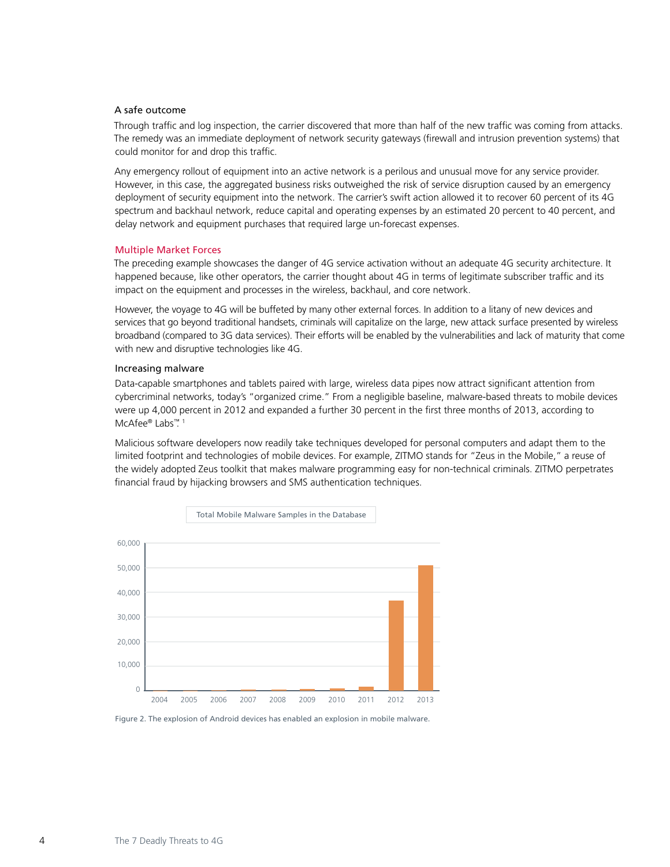## <span id="page-3-0"></span>A safe outcome

Through traffic and log inspection, the carrier discovered that more than half of the new traffic was coming from attacks. The remedy was an immediate deployment of network security gateways (firewall and intrusion prevention systems) that could monitor for and drop this traffic.

Any emergency rollout of equipment into an active network is a perilous and unusual move for any service provider. However, in this case, the aggregated business risks outweighed the risk of service disruption caused by an emergency deployment of security equipment into the network. The carrier's swift action allowed it to recover 60 percent of its 4G spectrum and backhaul network, reduce capital and operating expenses by an estimated 20 percent to 40 percent, and delay network and equipment purchases that required large un-forecast expenses.

#### Multiple Market Forces

The preceding example showcases the danger of 4G service activation without an adequate 4G security architecture. It happened because, like other operators, the carrier thought about 4G in terms of legitimate subscriber traffic and its impact on the equipment and processes in the wireless, backhaul, and core network.

However, the voyage to 4G will be buffeted by many other external forces. In addition to a litany of new devices and services that go beyond traditional handsets, criminals will capitalize on the large, new attack surface presented by wireless broadband (compared to 3G data services). Their efforts will be enabled by the vulnerabilities and lack of maturity that come with new and disruptive technologies like 4G.

#### Increasing malware

Data-capable smartphones and tablets paired with large, wireless data pipes now attract significant attention from cybercriminal networks, today's "organized crime." From a negligible baseline, malware-based threats to mobile devices were up 4,000 percent in 2012 and expanded a further 30 percent in the first three months of 2013, according to McAfee® Labs™. 1

Malicious software developers now readily take techniques developed for personal computers and adapt them to the limited footprint and technologies of mobile devices. For example, ZITMO stands for "Zeus in the Mobile," a reuse of the widely adopted Zeus toolkit that makes malware programming easy for non-technical criminals. ZITMO perpetrates financial fraud by hijacking browsers and SMS authentication techniques.



Figure 2. The explosion of Android devices has enabled an explosion in mobile malware.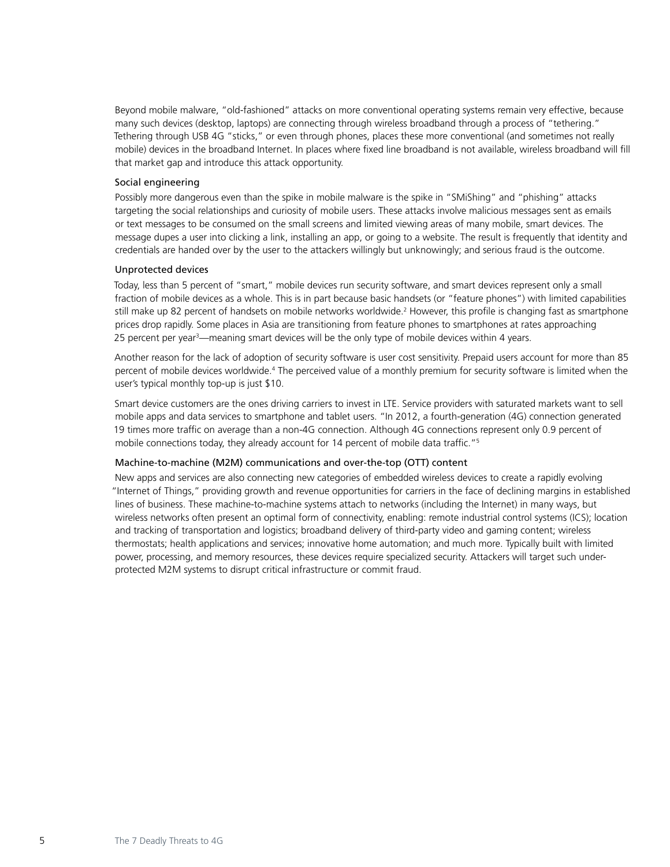<span id="page-4-0"></span>Beyond mobile malware, "old-fashioned" attacks on more conventional operating systems remain very effective, because many such devices (desktop, laptops) are connecting through wireless broadband through a process of "tethering." Tethering through USB 4G "sticks," or even through phones, places these more conventional (and sometimes not really mobile) devices in the broadband Internet. In places where fixed line broadband is not available, wireless broadband will fill that market gap and introduce this attack opportunity.

## Social engineering

Possibly more dangerous even than the spike in mobile malware is the spike in "SMiShing" and "phishing" attacks targeting the social relationships and curiosity of mobile users. These attacks involve malicious messages sent as emails or text messages to be consumed on the small screens and limited viewing areas of many mobile, smart devices. The message dupes a user into clicking a link, installing an app, or going to a website. The result is frequently that identity and credentials are handed over by the user to the attackers willingly but unknowingly; and serious fraud is the outcome.

## Unprotected devices

Today, less than 5 percent of "smart," mobile devices run security software, and smart devices represent only a small fraction of mobile devices as a whole. This is in part because basic handsets (or "feature phones") with limited capabilities still make up 82 percent of handsets on mobile networks worldwide.<sup>2</sup> However, this profile is changing fast as smartphone prices drop rapidly. Some places in Asia are transitioning from feature phones to smartphones at rates approaching 25 percent per year<sup>3</sup>—meaning smart devices will be the only type of mobile devices within 4 years.

Another reason for the lack of adoption of security software is user cost sensitivity. Prepaid users account for more than 85 percent of mobile devices worldwide.<sup>4</sup> The perceived value of a monthly premium for security software is limited when the user's typical monthly top-up is just \$10.

Smart device customers are the ones driving carriers to invest in LTE. Service providers with saturated markets want to sell mobile apps and data services to smartphone and tablet users. "In 2012, a fourth-generation (4G) connection generated 19 times more traffic on average than a non-4G connection. Although 4G connections represent only 0.9 percent of mobile connections today, they already account for 14 percent of mobile data traffic."5

# Machine-to-machine (M2M) communications and over-the-top (OTT) content

New apps and services are also connecting new categories of embedded wireless devices to create a rapidly evolving "Internet of Things," providing growth and revenue opportunities for carriers in the face of declining margins in established lines of business. These machine-to-machine systems attach to networks (including the Internet) in many ways, but wireless networks often present an optimal form of connectivity, enabling: remote industrial control systems (ICS); location and tracking of transportation and logistics; broadband delivery of third-party video and gaming content; wireless thermostats; health applications and services; innovative home automation; and much more. Typically built with limited power, processing, and memory resources, these devices require specialized security. Attackers will target such underprotected M2M systems to disrupt critical infrastructure or commit fraud.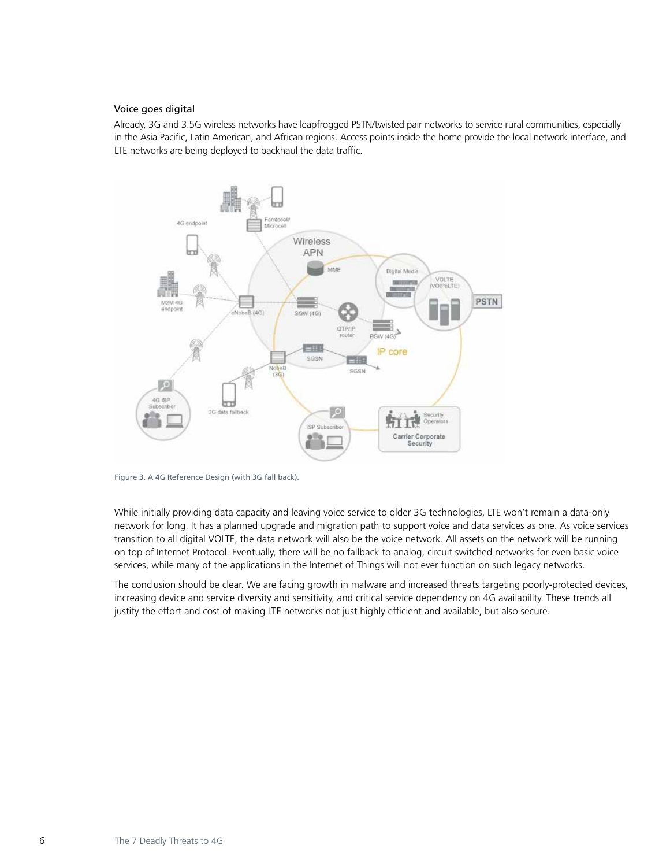## <span id="page-5-0"></span>Voice goes digital

Already, 3G and 3.5G wireless networks have leapfrogged PSTN/twisted pair networks to service rural communities, especially in the Asia Pacific, Latin American, and African regions. Access points inside the home provide the local network interface, and LTE networks are being deployed to backhaul the data traffic.



Figure 3. A 4G Reference Design (with 3G fall back).

While initially providing data capacity and leaving voice service to older 3G technologies, LTE won't remain a data-only network for long. It has a planned upgrade and migration path to support voice and data services as one. As voice services transition to all digital VOLTE, the data network will also be the voice network. All assets on the network will be running on top of Internet Protocol. Eventually, there will be no fallback to analog, circuit switched networks for even basic voice services, while many of the applications in the Internet of Things will not ever function on such legacy networks.

The conclusion should be clear. We are facing growth in malware and increased threats targeting poorly-protected devices, increasing device and service diversity and sensitivity, and critical service dependency on 4G availability. These trends all justify the effort and cost of making LTE networks not just highly efficient and available, but also secure.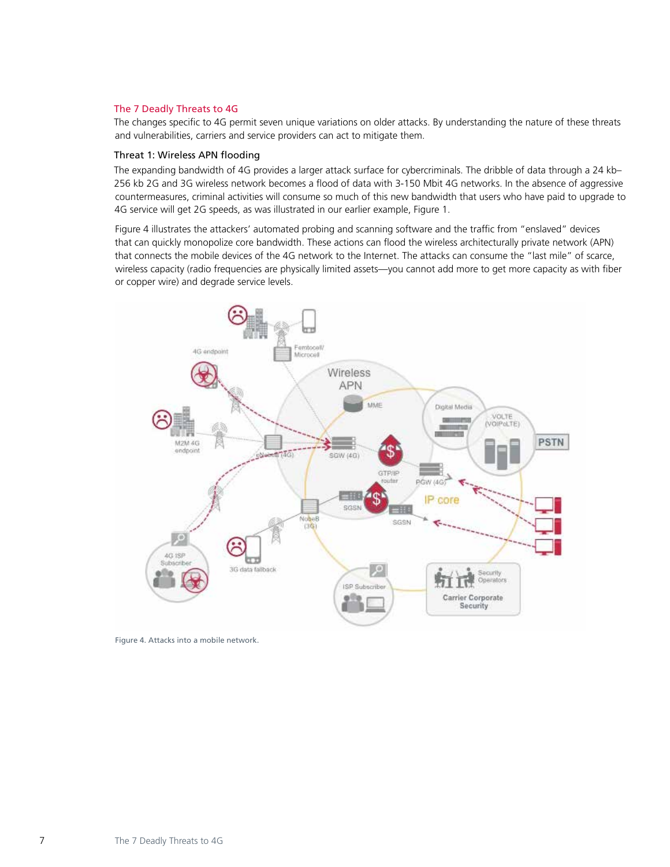# <span id="page-6-0"></span>The 7 Deadly Threats to 4G

The changes specific to 4G permit seven unique variations on older attacks. By understanding the nature of these threats and vulnerabilities, carriers and service providers can act to mitigate them.

## Threat 1: Wireless APN flooding

The expanding bandwidth of 4G provides a larger attack surface for cybercriminals. The dribble of data through a 24 kb– 256 kb 2G and 3G wireless network becomes a flood of data with 3-150 Mbit 4G networks. In the absence of aggressive countermeasures, criminal activities will consume so much of this new bandwidth that users who have paid to upgrade to 4G service will get 2G speeds, as was illustrated in our earlier example, Figure 1.

Figure 4 illustrates the attackers' automated probing and scanning software and the traffic from "enslaved" devices that can quickly monopolize core bandwidth. These actions can flood the wireless architecturally private network (APN) that connects the mobile devices of the 4G network to the Internet. The attacks can consume the "last mile" of scarce, wireless capacity (radio frequencies are physically limited assets—you cannot add more to get more capacity as with fiber or copper wire) and degrade service levels.



Figure 4. Attacks into a mobile network.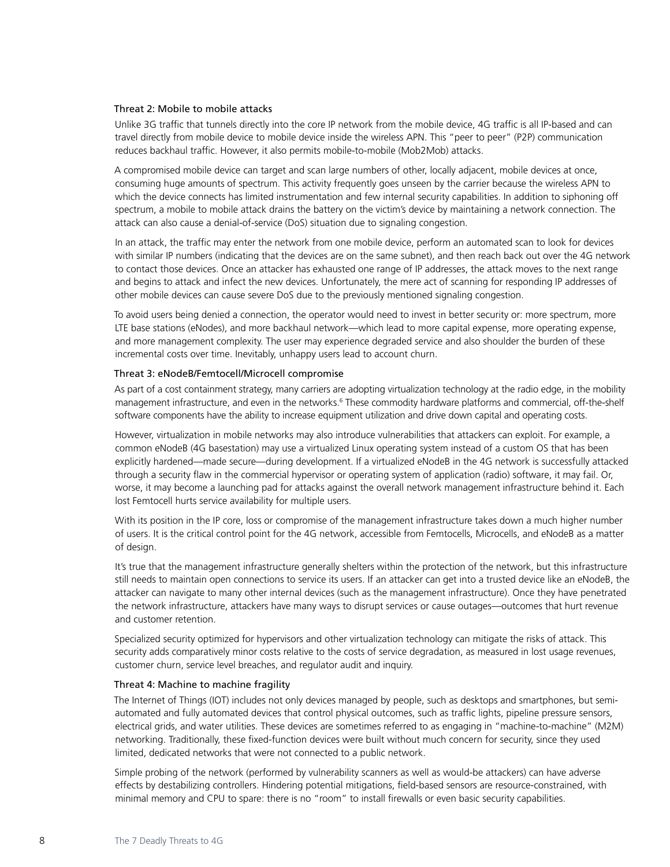#### <span id="page-7-0"></span>Threat 2: Mobile to mobile attacks

Unlike 3G traffic that tunnels directly into the core IP network from the mobile device, 4G traffic is all IP-based and can travel directly from mobile device to mobile device inside the wireless APN. This "peer to peer" (P2P) communication reduces backhaul traffic. However, it also permits mobile-to-mobile (Mob2Mob) attacks.

A compromised mobile device can target and scan large numbers of other, locally adjacent, mobile devices at once, consuming huge amounts of spectrum. This activity frequently goes unseen by the carrier because the wireless APN to which the device connects has limited instrumentation and few internal security capabilities. In addition to siphoning off spectrum, a mobile to mobile attack drains the battery on the victim's device by maintaining a network connection. The attack can also cause a denial-of-service (DoS) situation due to signaling congestion.

In an attack, the traffic may enter the network from one mobile device, perform an automated scan to look for devices with similar IP numbers (indicating that the devices are on the same subnet), and then reach back out over the 4G network to contact those devices. Once an attacker has exhausted one range of IP addresses, the attack moves to the next range and begins to attack and infect the new devices. Unfortunately, the mere act of scanning for responding IP addresses of other mobile devices can cause severe DoS due to the previously mentioned signaling congestion.

To avoid users being denied a connection, the operator would need to invest in better security or: more spectrum, more LTE base stations (eNodes), and more backhaul network—which lead to more capital expense, more operating expense, and more management complexity. The user may experience degraded service and also shoulder the burden of these incremental costs over time. Inevitably, unhappy users lead to account churn.

## Threat 3: eNodeB/Femtocell/Microcell compromise

As part of a cost containment strategy, many carriers are adopting virtualization technology at the radio edge, in the mobility management infrastructure, and even in the networks.<sup>6</sup> These commodity hardware platforms and commercial, off-the-shelf software components have the ability to increase equipment utilization and drive down capital and operating costs.

However, virtualization in mobile networks may also introduce vulnerabilities that attackers can exploit. For example, a common eNodeB (4G basestation) may use a virtualized Linux operating system instead of a custom OS that has been explicitly hardened—made secure—during development. If a virtualized eNodeB in the 4G network is successfully attacked through a security flaw in the commercial hypervisor or operating system of application (radio) software, it may fail. Or, worse, it may become a launching pad for attacks against the overall network management infrastructure behind it. Each lost Femtocell hurts service availability for multiple users.

With its position in the IP core, loss or compromise of the management infrastructure takes down a much higher number of users. It is the critical control point for the 4G network, accessible from Femtocells, Microcells, and eNodeB as a matter of design.

It's true that the management infrastructure generally shelters within the protection of the network, but this infrastructure still needs to maintain open connections to service its users. If an attacker can get into a trusted device like an eNodeB, the attacker can navigate to many other internal devices (such as the management infrastructure). Once they have penetrated the network infrastructure, attackers have many ways to disrupt services or cause outages—outcomes that hurt revenue and customer retention.

Specialized security optimized for hypervisors and other virtualization technology can mitigate the risks of attack. This security adds comparatively minor costs relative to the costs of service degradation, as measured in lost usage revenues, customer churn, service level breaches, and regulator audit and inquiry.

## Threat 4: Machine to machine fragility

The Internet of Things (IOT) includes not only devices managed by people, such as desktops and smartphones, but semiautomated and fully automated devices that control physical outcomes, such as traffic lights, pipeline pressure sensors, electrical grids, and water utilities. These devices are sometimes referred to as engaging in "machine-to-machine" (M2M) networking. Traditionally, these fixed-function devices were built without much concern for security, since they used limited, dedicated networks that were not connected to a public network.

Simple probing of the network (performed by vulnerability scanners as well as would-be attackers) can have adverse effects by destabilizing controllers. Hindering potential mitigations, field-based sensors are resource-constrained, with minimal memory and CPU to spare: there is no "room" to install firewalls or even basic security capabilities.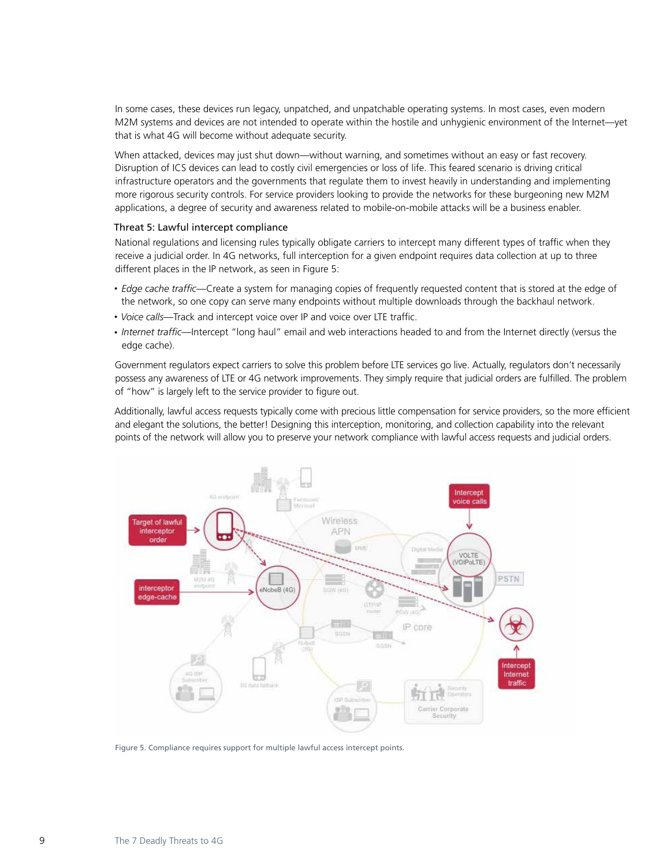<span id="page-8-0"></span>In some cases, these devices run legacy, unpatched, and unpatchable operating systems. In most cases, even modern M2M systems and devices are not intended to operate within the hostile and unhygienic environment of the Internet—yet that is what 4G will become without adequate security.

When attacked, devices may just shut down—without warning, and sometimes without an easy or fast recovery. Disruption of ICS devices can lead to costly civil emergencies or loss of life. This feared scenario is driving critical infrastructure operators and the governments that regulate them to invest heavily in understanding and implementing more rigorous security controls. For service providers looking to provide the networks for these burgeoning new M2M applications, a degree of security and awareness related to mobile-on-mobile attacks will be a business enabler.

## Threat 5: Lawful intercept compliance

National regulations and licensing rules typically obligate carriers to intercept many different types of traffic when they receive a judicial order. In 4G networks, full interception for a given endpoint requires data collection at up to three different places in the IP network, as seen in Figure 5:

- *Edge cache traffic*—Create a system for managing copies of frequently requested content that is stored at the edge of the network, so one copy can serve many endpoints without multiple downloads through the backhaul network.
- • *Voice calls*—Track and intercept voice over IP and voice over LTE traffic.
- • *Internet traffic*—Intercept "long haul" email and web interactions headed to and from the Internet directly (versus the edge cache).

Government regulators expect carriers to solve this problem before LTE services go live. Actually, regulators don't necessarily possess any awareness of LTE or 4G network improvements. They simply require that judicial orders are fulfilled. The problem of "how" is largely left to the service provider to figure out.

Additionally, lawful access requests typically come with precious little compensation for service providers, so the more efficient and elegant the solutions, the better! Designing this interception, monitoring, and collection capability into the relevant points of the network will allow you to preserve your network compliance with lawful access requests and judicial orders.



Figure 5. Compliance requires support for multiple lawful access intercept points.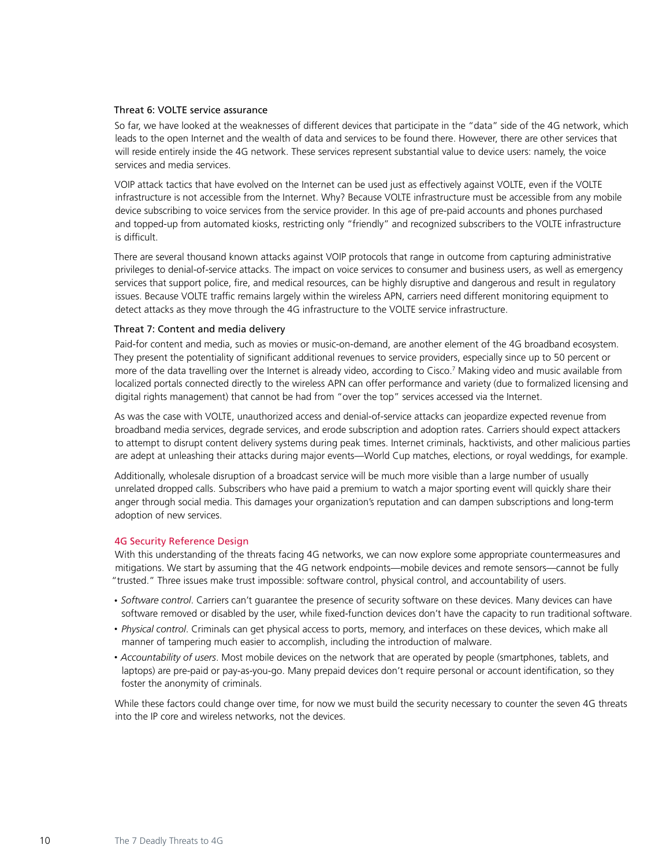#### <span id="page-9-0"></span>Threat 6: VOLTE service assurance

So far, we have looked at the weaknesses of different devices that participate in the "data" side of the 4G network, which leads to the open Internet and the wealth of data and services to be found there. However, there are other services that will reside entirely inside the 4G network. These services represent substantial value to device users: namely, the voice services and media services.

VOIP attack tactics that have evolved on the Internet can be used just as effectively against VOLTE, even if the VOLTE infrastructure is not accessible from the Internet. Why? Because VOLTE infrastructure must be accessible from any mobile device subscribing to voice services from the service provider. In this age of pre-paid accounts and phones purchased and topped-up from automated kiosks, restricting only "friendly" and recognized subscribers to the VOLTE infrastructure is difficult.

There are several thousand known attacks against VOIP protocols that range in outcome from capturing administrative privileges to denial-of-service attacks. The impact on voice services to consumer and business users, as well as emergency services that support police, fire, and medical resources, can be highly disruptive and dangerous and result in regulatory issues. Because VOLTE traffic remains largely within the wireless APN, carriers need different monitoring equipment to detect attacks as they move through the 4G infrastructure to the VOLTE service infrastructure.

#### Threat 7: Content and media delivery

Paid-for content and media, such as movies or music-on-demand, are another element of the 4G broadband ecosystem. They present the potentiality of significant additional revenues to service providers, especially since up to 50 percent or more of the data travelling over the Internet is already video, according to Cisco.7 Making video and music available from localized portals connected directly to the wireless APN can offer performance and variety (due to formalized licensing and digital rights management) that cannot be had from "over the top" services accessed via the Internet.

As was the case with VOLTE, unauthorized access and denial-of-service attacks can jeopardize expected revenue from broadband media services, degrade services, and erode subscription and adoption rates. Carriers should expect attackers to attempt to disrupt content delivery systems during peak times. Internet criminals, hacktivists, and other malicious parties are adept at unleashing their attacks during major events—World Cup matches, elections, or royal weddings, for example.

Additionally, wholesale disruption of a broadcast service will be much more visible than a large number of usually unrelated dropped calls. Subscribers who have paid a premium to watch a major sporting event will quickly share their anger through social media. This damages your organization's reputation and can dampen subscriptions and long-term adoption of new services.

#### 4G Security Reference Design

With this understanding of the threats facing 4G networks, we can now explore some appropriate countermeasures and mitigations. We start by assuming that the 4G network endpoints—mobile devices and remote sensors—cannot be fully "trusted." Three issues make trust impossible: software control, physical control, and accountability of users.

- • *Software control*. Carriers can't guarantee the presence of security software on these devices. Many devices can have software removed or disabled by the user, while fixed-function devices don't have the capacity to run traditional software.
- • *Physical control*. Criminals can get physical access to ports, memory, and interfaces on these devices, which make all manner of tampering much easier to accomplish, including the introduction of malware.
- • *Accountability of users*. Most mobile devices on the network that are operated by people (smartphones, tablets, and laptops) are pre-paid or pay-as-you-go. Many prepaid devices don't require personal or account identification, so they foster the anonymity of criminals.

While these factors could change over time, for now we must build the security necessary to counter the seven 4G threats into the IP core and wireless networks, not the devices.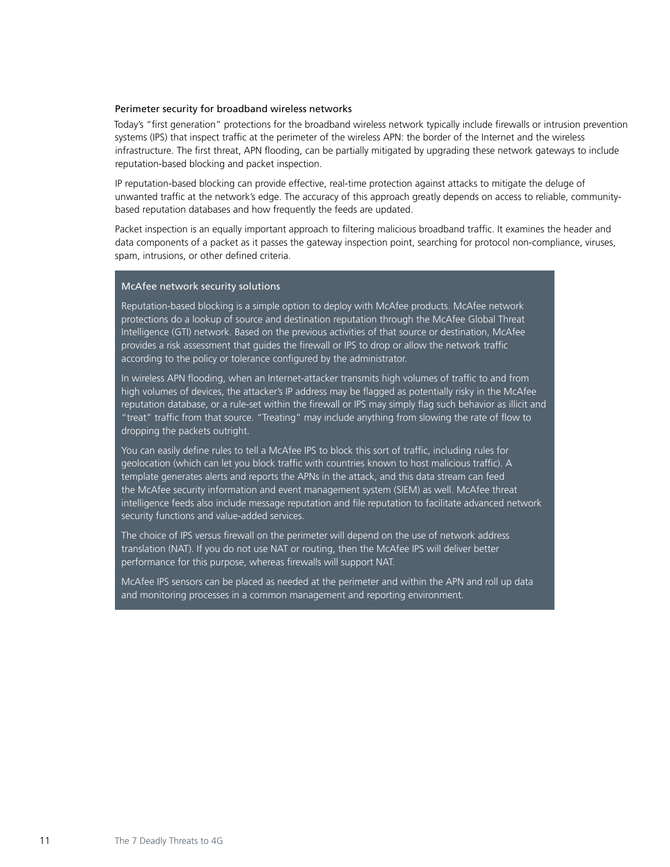## <span id="page-10-0"></span>Perimeter security for broadband wireless networks

Today's "first generation" protections for the broadband wireless network typically include firewalls or intrusion prevention systems (IPS) that inspect traffic at the perimeter of the wireless APN: the border of the Internet and the wireless infrastructure. The first threat, APN flooding, can be partially mitigated by upgrading these network gateways to include reputation-based blocking and packet inspection.

IP reputation-based blocking can provide effective, real-time protection against attacks to mitigate the deluge of unwanted traffic at the network's edge. The accuracy of this approach greatly depends on access to reliable, communitybased reputation databases and how frequently the feeds are updated.

Packet inspection is an equally important approach to filtering malicious broadband traffic. It examines the header and data components of a packet as it passes the gateway inspection point, searching for protocol non-compliance, viruses, spam, intrusions, or other defined criteria.

## McAfee network security solutions

Reputation-based blocking is a simple option to deploy with McAfee products. McAfee network protections do a lookup of source and destination reputation through the McAfee Global Threat Intelligence (GTI) network. Based on the previous activities of that source or destination, McAfee provides a risk assessment that guides the firewall or IPS to drop or allow the network traffic according to the policy or tolerance configured by the administrator.

In wireless APN flooding, when an Internet-attacker transmits high volumes of traffic to and from high volumes of devices, the attacker's IP address may be flagged as potentially risky in the McAfee reputation database, or a rule-set within the firewall or IPS may simply flag such behavior as illicit and "treat" traffic from that source. "Treating" may include anything from slowing the rate of flow to dropping the packets outright.

You can easily define rules to tell a McAfee IPS to block this sort of traffic, including rules for geolocation (which can let you block traffic with countries known to host malicious traffic). A template generates alerts and reports the APNs in the attack, and this data stream can feed the McAfee security information and event management system (SIEM) as well. McAfee threat intelligence feeds also include message reputation and file reputation to facilitate advanced network security functions and value-added services.

The choice of IPS versus firewall on the perimeter will depend on the use of network address translation (NAT). If you do not use NAT or routing, then the McAfee IPS will deliver better performance for this purpose, whereas firewalls will support NAT.

McAfee IPS sensors can be placed as needed at the perimeter and within the APN and roll up data and monitoring processes in a common management and reporting environment.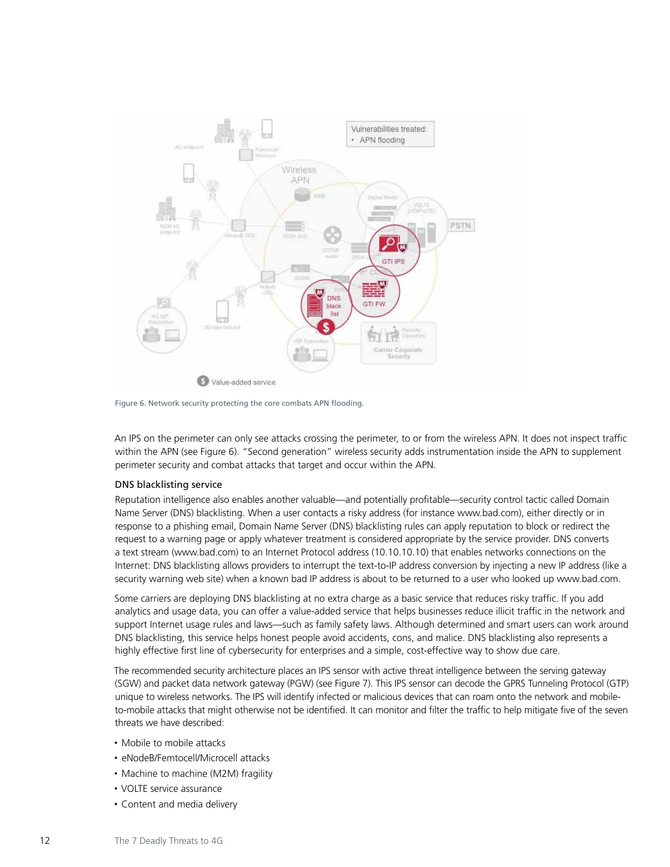<span id="page-11-0"></span>

Figure 6. Network security protecting the core combats APN flooding.

An IPS on the perimeter can only see attacks crossing the perimeter, to or from the wireless APN. It does not inspect traffic within the APN (see Figure 6). "Second generation" wireless security adds instrumentation inside the APN to supplement perimeter security and combat attacks that target and occur within the APN.

# DNS blacklisting service

Reputation intelligence also enables another valuable—and potentially profitable—security control tactic called Domain Name Server (DNS) blacklisting. When a user contacts a risky address (for instance www.bad.com), either directly or in response to a phishing email, Domain Name Server (DNS) blacklisting rules can apply reputation to block or redirect the request to a warning page or apply whatever treatment is considered appropriate by the service provider. DNS converts a text stream (www.bad.com) to an Internet Protocol address (10.10.10.10) that enables networks connections on the Internet: DNS blacklisting allows providers to interrupt the text-to-IP address conversion by injecting a new IP address (like a security warning web site) when a known bad IP address is about to be returned to a user who looked up www.bad.com.

Some carriers are deploying DNS blacklisting at no extra charge as a basic service that reduces risky traffic. If you add analytics and usage data, you can offer a value-added service that helps businesses reduce illicit traffic in the network and support Internet usage rules and laws—such as family safety laws. Although determined and smart users can work around DNS blacklisting, this service helps honest people avoid accidents, cons, and malice. DNS blacklisting also represents a highly effective first line of cybersecurity for enterprises and a simple, cost-effective way to show due care.

The recommended security architecture places an IPS sensor with active threat intelligence between the serving gateway (SGW) and packet data network gateway (PGW) (see Figure 7). This IPS sensor can decode the GPRS Tunneling Protocol (GTP) unique to wireless networks. The IPS will identify infected or malicious devices that can roam onto the network and mobileto-mobile attacks that might otherwise not be identified. It can monitor and filter the traffic to help mitigate five of the seven threats we have described:

- Mobile to mobile attacks
- eNodeB/Femtocell/Microcell attacks
- Machine to machine (M2M) fragility
- VOLTE service assurance
- Content and media delivery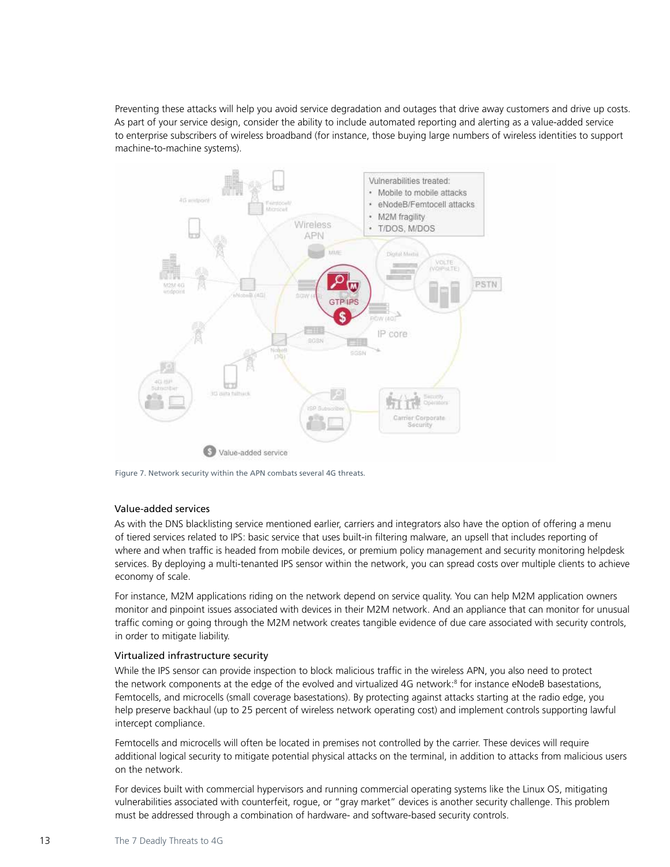<span id="page-12-0"></span>Preventing these attacks will help you avoid service degradation and outages that drive away customers and drive up costs. As part of your service design, consider the ability to include automated reporting and alerting as a value-added service to enterprise subscribers of wireless broadband (for instance, those buying large numbers of wireless identities to support machine-to-machine systems).



Figure 7. Network security within the APN combats several 4G threats.

# Value-added services

As with the DNS blacklisting service mentioned earlier, carriers and integrators also have the option of offering a menu of tiered services related to IPS: basic service that uses built-in filtering malware, an upsell that includes reporting of where and when traffic is headed from mobile devices, or premium policy management and security monitoring helpdesk services. By deploying a multi-tenanted IPS sensor within the network, you can spread costs over multiple clients to achieve economy of scale.

For instance, M2M applications riding on the network depend on service quality. You can help M2M application owners monitor and pinpoint issues associated with devices in their M2M network. And an appliance that can monitor for unusual traffic coming or going through the M2M network creates tangible evidence of due care associated with security controls, in order to mitigate liability.

# Virtualized infrastructure security

While the IPS sensor can provide inspection to block malicious traffic in the wireless APN, you also need to protect the network components at the edge of the evolved and virtualized 4G network:<sup>8</sup> for instance eNodeB basestations, Femtocells, and microcells (small coverage basestations). By protecting against attacks starting at the radio edge, you help preserve backhaul (up to 25 percent of wireless network operating cost) and implement controls supporting lawful intercept compliance.

Femtocells and microcells will often be located in premises not controlled by the carrier. These devices will require additional logical security to mitigate potential physical attacks on the terminal, in addition to attacks from malicious users on the network.

For devices built with commercial hypervisors and running commercial operating systems like the Linux OS, mitigating vulnerabilities associated with counterfeit, rogue, or "gray market" devices is another security challenge. This problem must be addressed through a combination of hardware- and software-based security controls.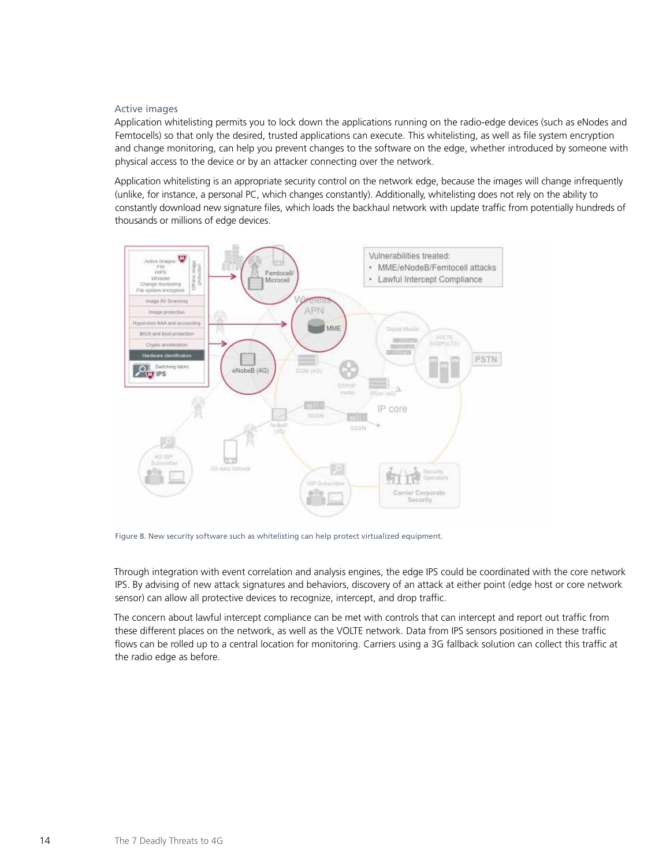## Active images

Application whitelisting permits you to lock down the applications running on the radio-edge devices (such as eNodes and Femtocells) so that only the desired, trusted applications can execute. This whitelisting, as well as file system encryption and change monitoring, can help you prevent changes to the software on the edge, whether introduced by someone with physical access to the device or by an attacker connecting over the network.

Application whitelisting is an appropriate security control on the network edge, because the images will change infrequently (unlike, for instance, a personal PC, which changes constantly). Additionally, whitelisting does not rely on the ability to constantly download new signature files, which loads the backhaul network with update traffic from potentially hundreds of thousands or millions of edge devices.



Figure 8. New security software such as whitelisting can help protect virtualized equipment.

Through integration with event correlation and analysis engines, the edge IPS could be coordinated with the core network IPS. By advising of new attack signatures and behaviors, discovery of an attack at either point (edge host or core network sensor) can allow all protective devices to recognize, intercept, and drop traffic.

The concern about lawful intercept compliance can be met with controls that can intercept and report out traffic from these different places on the network, as well as the VOLTE network. Data from IPS sensors positioned in these traffic flows can be rolled up to a central location for monitoring. Carriers using a 3G fallback solution can collect this traffic at the radio edge as before.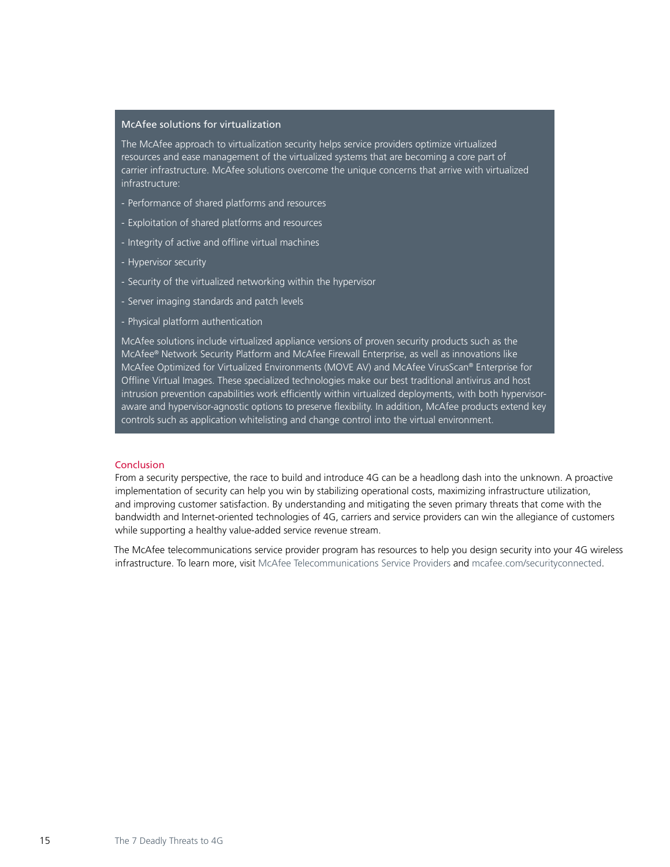## <span id="page-14-0"></span>McAfee solutions for virtualization

The McAfee approach to virtualization security helps service providers optimize virtualized resources and ease management of the virtualized systems that are becoming a core part of carrier infrastructure. McAfee solutions overcome the unique concerns that arrive with virtualized infrastructure:

- Performance of shared platforms and resources
- Exploitation of shared platforms and resources
- Integrity of active and offline virtual machines
- Hypervisor security
- Security of the virtualized networking within the hypervisor
- Server imaging standards and patch levels
- Physical platform authentication

McAfee solutions include virtualized appliance versions of proven security products such as the McAfee® Network Security Platform and McAfee Firewall Enterprise, as well as innovations like McAfee Optimized for Virtualized Environments (MOVE AV) and McAfee VirusScan® Enterprise for Offline Virtual Images. These specialized technologies make our best traditional antivirus and host intrusion prevention capabilities work efficiently within virtualized deployments, with both hypervisoraware and hypervisor-agnostic options to preserve flexibility. In addition, McAfee products extend key controls such as application whitelisting and change control into the virtual environment.

# Conclusion

From a security perspective, the race to build and introduce 4G can be a headlong dash into the unknown. A proactive implementation of security can help you win by stabilizing operational costs, maximizing infrastructure utilization, and improving customer satisfaction. By understanding and mitigating the seven primary threats that come with the bandwidth and Internet-oriented technologies of 4G, carriers and service providers can win the allegiance of customers while supporting a healthy value-added service revenue stream.

The McAfee telecommunications service provider program has resources to help you design security into your 4G wireless infrastructure. To learn more, visit [McAfee Telecommunications Service Providers](http://www.mcafee.com/us/industry/telecommunications/index.aspx) and [mcafee.com/securityconnected.](http://www.mcafee.com/securityconnected)